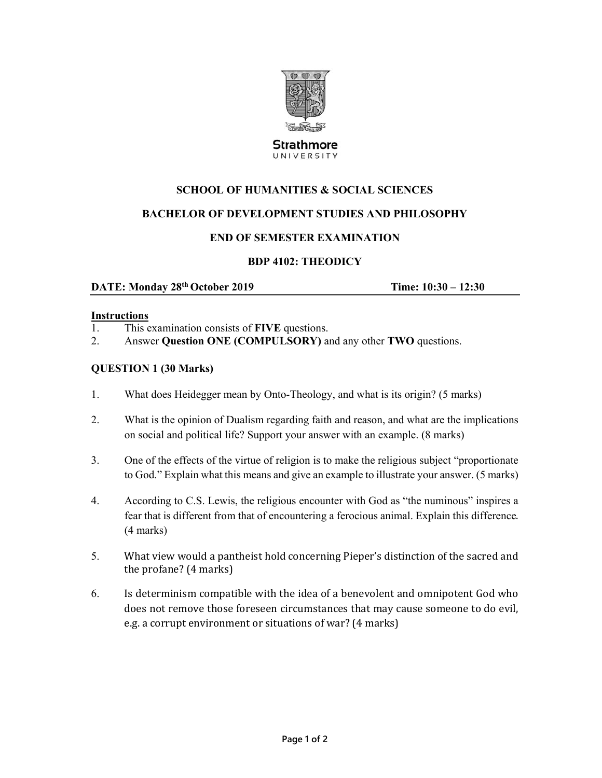

**Strathmore** UNIVERSITY

# **SCHOOL OF HUMANITIES & SOCIAL SCIENCES**

# **BACHELOR OF DEVELOPMENT STUDIES AND PHILOSOPHY**

### **END OF SEMESTER EXAMINATION**

# **BDP 4102: THEODICY**

**DATE: Monday 28<sup>th</sup> October 2019 <b>Time: 10:30 – 12:30** 

#### **Instructions**

- 1. This examination consists of **FIVE** questions.
- 2. Answer **Question ONE (COMPULSORY)** and any other **TWO** questions.

#### **QUESTION 1 (30 Marks)**

- 1. What does Heidegger mean by Onto-Theology, and what is its origin? (5 marks)
- 2. What is the opinion of Dualism regarding faith and reason, and what are the implications on social and political life? Support your answer with an example. (8 marks)
- 3. One of the effects of the virtue of religion is to make the religious subject "proportionate to God." Explain what this means and give an example to illustrate your answer. (5 marks)
- 4. According to C.S. Lewis, the religious encounter with God as "the numinous" inspires a fear that is different from that of encountering a ferocious animal. Explain this difference. (4 marks)
- 5. What view would a pantheist hold concerning Pieper's distinction of the sacred and the profane?  $(4 \text{ marks})$
- 6. Is determinism compatible with the idea of a benevolent and omnipotent God who does not remove those foreseen circumstances that may cause someone to do evil, e.g. a corrupt environment or situations of war? (4 marks)